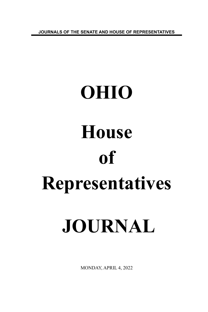**JOURNALS OF THE SENATE AND HOUSE OF REPRESENTATIVES**

# **OHIO House of Representatives JOURNAL**

MONDAY, APRIL 4, 2022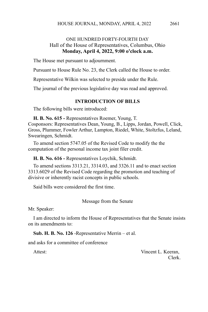# ONE HUNDRED FORTY-FOURTH DAY Hall of the House of Representatives, Columbus, Ohio **Monday, April 4, 2022, 9:00 o'clock a.m.**

The House met pursuant to adjournment.

Pursuant to House Rule No. 23, the Clerk called the House to order.

Representative Wilkin was selected to preside under the Rule.

The journal of the previous legislative day was read and approved.

## **INTRODUCTION OF BILLS**

The following bills were introduced:

**H. B. No. 615 -** Representatives Roemer, Young, T. Cosponsors: Representatives Dean, Young, B., Lipps, Jordan, Powell, Click, Gross, Plummer, Fowler Arthur, Lampton, Riedel, White, Stoltzfus, Leland, Swearingen, Schmidt.

To amend section 5747.05 of the Revised Code to modify the the computation of the personal income tax joint filer credit.

**H. B. No. 616 -** Representatives Loychik, Schmidt.

To amend sections 3313.21, 3314.03, and 3326.11 and to enact section 3313.6029 of the Revised Code regarding the promotion and teaching of divisive or inherently racist concepts in public schools.

Said bills were considered the first time.

Message from the Senate

Mr. Speaker:

I am directed to inform the House of Representatives that the Senate insists on its amendments to:

**Sub. H. B. No. 126** -Representative Merrin – et al.

and asks for a committee of conference

Attest: Vincent L. Keeran, Clerk.